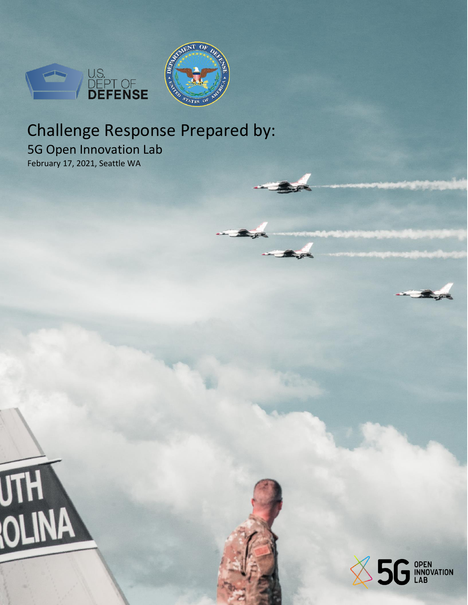



# Challenge Response Prepared by:

5G Open Innovation Lab February 17, 2021, Seattle WA

**UTH NA** 

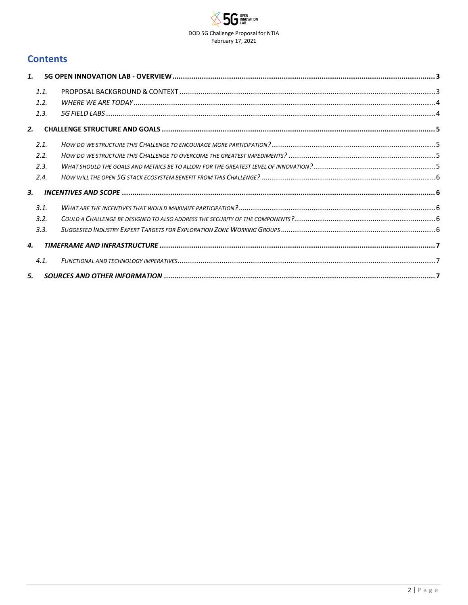

## **Contents**

| 1.   |  |
|------|--|
| 1.1. |  |
| 1.2. |  |
| 1.3. |  |
| 2.   |  |
| 2.1. |  |
| 2.2. |  |
| 2.3. |  |
| 2.4. |  |
| 3.   |  |
| 3.1. |  |
| 3.2. |  |
| 3.3. |  |
| 4.   |  |
| 4.1. |  |
| 5.   |  |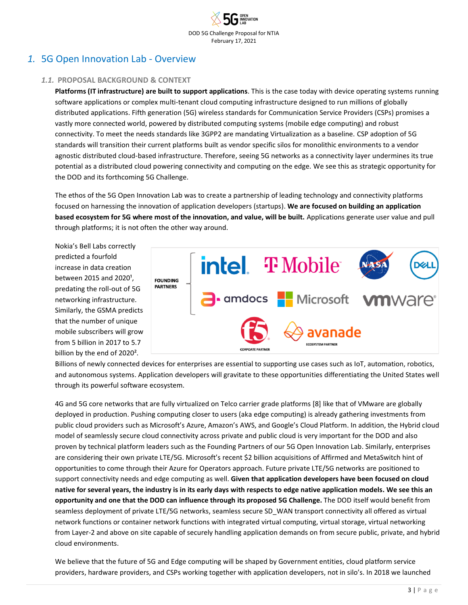# <span id="page-2-1"></span><span id="page-2-0"></span>*1.* 5G Open Innovation Lab - Overview

#### *1.1.* **PROPOSAL BACKGROUND & CONTEXT**

**Platforms (IT infrastructure) are built to support applications**. This is the case today with device operating systems running software applications or complex multi-tenant cloud computing infrastructure designed to run millions of globally distributed applications. Fifth generation (5G) wireless standards for Communication Service Providers (CSPs) promises a vastly more connected world, powered by distributed computing systems (mobile edge computing) and robust connectivity. To meet the needs standards like 3GPP2 are mandating Virtualization as a baseline. CSP adoption of 5G standards will transition their current platforms built as vendor specific silos for monolithic environments to a vendor agnostic distributed cloud-based infrastructure. Therefore, seeing 5G networks as a connectivity layer undermines its true potential as a distributed cloud powering connectivity and computing on the edge. We see this as strategic opportunity for the DOD and its forthcoming 5G Challenge.

The ethos of the 5G Open Innovation Lab was to create a partnership of leading technology and connectivity platforms focused on harnessing the innovation of application developers (startups). **We are focused on building an application based ecosystem for 5G where most of the innovation, and value, will be built.** Applications generate user value and pull through platforms; it is not often the other way around.

Nokia's Bell Labs correctly predicted a fourfold increase in data creation between 2015 and 2020<sup>1</sup>, predating the roll-out of 5G networking infrastructure. Similarly, the GSMA predicts that the number of unique mobile subscribers will grow from 5 billion in 2017 to 5.7 billion by the end of 2020².



Billions of newly connected devices for enterprises are essential to supporting use cases such as IoT, automation, robotics, and autonomous systems. Application developers will gravitate to these opportunities differentiating the United States well through its powerful software ecosystem.

4G and 5G core networks that are fully virtualized on Telco carrier grade platforms [8] like that of VMware are globally deployed in production. Pushing computing closer to users (aka edge computing) is already gathering investments from public cloud providers such as Microsoft's Azure, Amazon's AWS, and Google's Cloud Platform. In addition, the Hybrid cloud model of seamlessly secure cloud connectivity across private and public cloud is very important for the DOD and also proven by technical platform leaders such as the Founding Partners of our 5G Open Innovation Lab. Similarly, enterprises are considering their own private LTE/5G. Microsoft's recent \$2 billion acquisitions of Affirmed and MetaSwitch hint of opportunities to come through their Azure for Operators approach. Future private LTE/5G networks are positioned to support connectivity needs and edge computing as well. **Given that application developers have been focused on cloud native for several years, the industry is in its early days with respects to edge native application models. We see this an opportunity and one that the DOD can influence through its proposed 5G Challenge.** The DOD itself would benefit from seamless deployment of private LTE/5G networks, seamless secure SD\_WAN transport connectivity all offered as virtual network functions or container network functions with integrated virtual computing, virtual storage, virtual networking from Layer-2 and above on site capable of securely handling application demands on from secure public, private, and hybrid cloud environments.

We believe that the future of 5G and Edge computing will be shaped by Government entities, cloud platform service providers, hardware providers, and CSPs working together with application developers, not in silo's. In 2018 we launched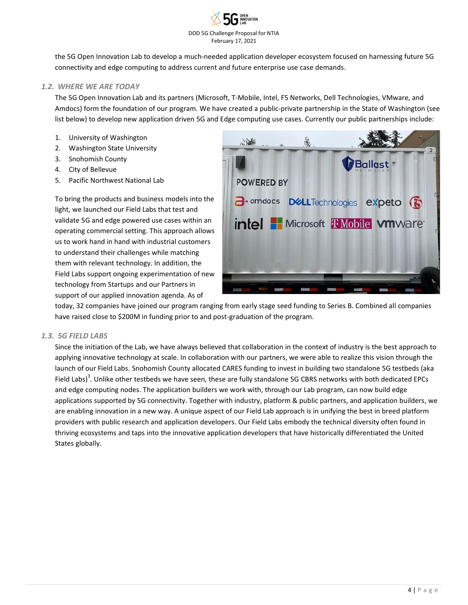

the 5G Open Innovation Lab to develop a much-needed application developer ecosystem focused on harnessing future 5G connectivity and edge computing to address current and future enterprise use case demands.

#### <span id="page-3-0"></span>*1.2. WHERE WE ARE TODAY*

The 5G Open Innovation Lab and its partners (Microsoft, T-Mobile, Intel, F5 Networks, Dell Technologies, VMware, and Amdocs) form the foundation of our program. We have created a public-private partnership in the State of Washington (see list below) to develop new application driven 5G and Edge computing use cases. Currently our public partnerships include:

- 1. University of Washington
- 2. Washington State University
- 3. Snohomish County
- 4. City of Bellevue
- 5. Pacific Northwest National Lab

To bring the products and business models into the light, we launched our Field Labs that test and validate 5G and edge powered use cases within an operating commercial setting. This approach allows us to work hand in hand with industrial customers to understand their challenges while matching them with relevant technology. In addition, the Field Labs support ongoing experimentation of new technology from Startups and our Partners in support of our applied innovation agenda. As of



today, 32 companies have joined our program ranging from early stage seed funding to Series B. Combined all companies have raised close to \$200M in funding prior to and post-graduation of the program.

#### <span id="page-3-1"></span>*1.3. 5G FIELD LABS*

Since the initiation of the Lab, we have always believed that collaboration in the context of industry is the best approach to applying innovative technology at scale. In collaboration with our partners, we were able to realize this vision through the launch of our Field Labs. Snohomish County allocated CARES funding to invest in building two standalone 5G testbeds (aka Field Labs)<sup>3</sup>. Unlike other testbeds we have seen, these are fully standalone 5G CBRS networks with both dedicated EPCs and edge computing nodes. The application builders we work with, through our Lab program, can now build edge applications supported by 5G connectivity. Together with industry, platform & public partners, and application builders, we are enabling innovation in a new way. A unique aspect of our Field Lab approach is in unifying the best in breed platform providers with public research and application developers. Our Field Labs embody the technical diversity often found in thriving ecosystems and taps into the innovative application developers that have historically differentiated the United States globally.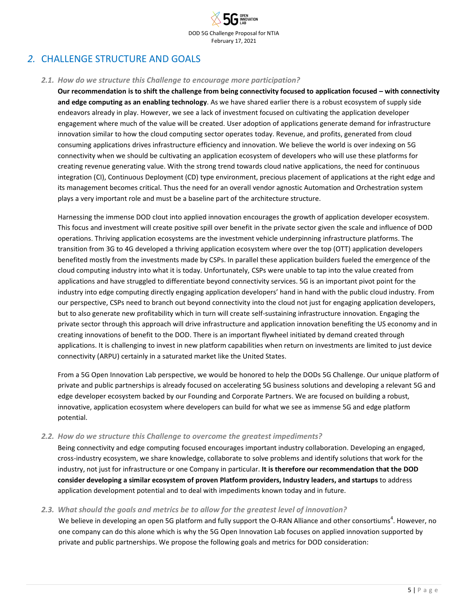# <span id="page-4-1"></span><span id="page-4-0"></span>*2.* CHALLENGE STRUCTURE AND GOALS

#### *2.1. How do we structure this Challenge to encourage more participation?*

**Our recommendation is to shift the challenge from being connectivity focused to application focused – with connectivity and edge computing as an enabling technology**. As we have shared earlier there is a robust ecosystem of supply side endeavors already in play. However, we see a lack of investment focused on cultivating the application developer engagement where much of the value will be created. User adoption of applications generate demand for infrastructure innovation similar to how the cloud computing sector operates today. Revenue, and profits, generated from cloud consuming applications drives infrastructure efficiency and innovation. We believe the world is over indexing on 5G connectivity when we should be cultivating an application ecosystem of developers who will use these platforms for creating revenue generating value. With the strong trend towards cloud native applications, the need for continuous integration (CI), Continuous Deployment (CD) type environment, precious placement of applications at the right edge and its management becomes critical. Thus the need for an overall vendor agnostic Automation and Orchestration system plays a very important role and must be a baseline part of the architecture structure.

Harnessing the immense DOD clout into applied innovation encourages the growth of application developer ecosystem. This focus and investment will create positive spill over benefit in the private sector given the scale and influence of DOD operations. Thriving application ecosystems are the investment vehicle underpinning infrastructure platforms. The transition from 3G to 4G developed a thriving application ecosystem where over the top (OTT) application developers benefited mostly from the investments made by CSPs. In parallel these application builders fueled the emergence of the cloud computing industry into what it is today. Unfortunately, CSPs were unable to tap into the value created from applications and have struggled to differentiate beyond connectivity services. 5G is an important pivot point for the industry into edge computing directly engaging application developers' hand in hand with the public cloud industry. From our perspective, CSPs need to branch out beyond connectivity into the cloud not just for engaging application developers, but to also generate new profitability which in turn will create self-sustaining infrastructure innovation. Engaging the private sector through this approach will drive infrastructure and application innovation benefiting the US economy and in creating innovations of benefit to the DOD. There is an important flywheel initiated by demand created through applications. It is challenging to invest in new platform capabilities when return on investments are limited to just device connectivity (ARPU) certainly in a saturated market like the United States.

From a 5G Open Innovation Lab perspective, we would be honored to help the DODs 5G Challenge. Our unique platform of private and public partnerships is already focused on accelerating 5G business solutions and developing a relevant 5G and edge developer ecosystem backed by our Founding and Corporate Partners. We are focused on building a robust, innovative, application ecosystem where developers can build for what we see as immense 5G and edge platform potential.

#### <span id="page-4-2"></span>*2.2. How do we structure this Challenge to overcome the greatest impediments?*

Being connectivity and edge computing focused encourages important industry collaboration. Developing an engaged, cross-industry ecosystem, we share knowledge, collaborate to solve problems and identify solutions that work for the industry, not just for infrastructure or one Company in particular. **It is therefore our recommendation that the DOD consider developing a similar ecosystem of proven Platform providers, Industry leaders, and startups** to address application development potential and to deal with impediments known today and in future.

#### <span id="page-4-3"></span>*2.3. What should the goals and metrics be to allow for the greatest level of innovation?*

We believe in developing an open 5G platform and fully support the O-RAN Alliance and other consortiums<sup>4</sup>. However, no one company can do this alone which is why the 5G Open Innovation Lab focuses on applied innovation supported by private and public partnerships. We propose the following goals and metrics for DOD consideration: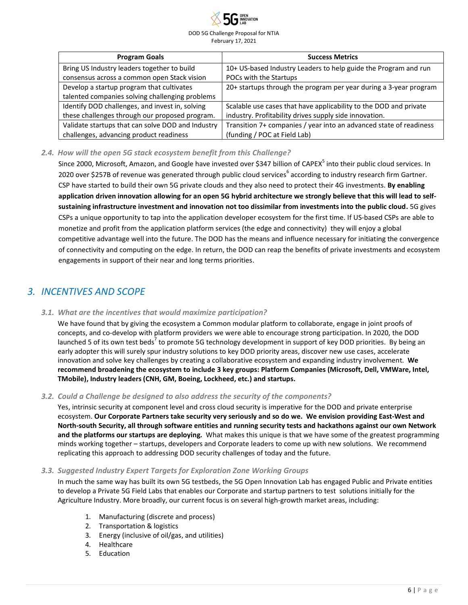

| <b>Program Goals</b>                              | <b>Success Metrics</b>                                             |
|---------------------------------------------------|--------------------------------------------------------------------|
| Bring US Industry leaders together to build       | 10+ US-based Industry Leaders to help guide the Program and run    |
| consensus across a common open Stack vision       | POCs with the Startups                                             |
| Develop a startup program that cultivates         | 20+ startups through the program per year during a 3-year program  |
| talented companies solving challenging problems   |                                                                    |
| Identify DOD challenges, and invest in, solving   | Scalable use cases that have applicability to the DOD and private  |
| these challenges through our proposed program.    | industry. Profitability drives supply side innovation.             |
| Validate startups that can solve DOD and Industry | Transition 7+ companies / year into an advanced state of readiness |
| challenges, advancing product readiness           | (funding / POC at Field Lab)                                       |

#### <span id="page-5-0"></span>*2.4. How will the open 5G stack ecosystem benefit from this Challenge?*

Since 2000, Microsoft, Amazon, and Google have invested over \$347 billion of CAPEX<sup>5</sup> into their public cloud services. In 2020 over \$257B of revenue was generated through public cloud services<sup>6</sup> according to industry research firm Gartner. CSP have started to build their own 5G private clouds and they also need to protect their 4G investments. **By enabling application driven innovation allowing for an open 5G hybrid architecture we strongly believe that this will lead to selfsustaining infrastructure investment and innovation not too dissimilar from investments into the public cloud.** 5G gives CSPs a unique opportunity to tap into the application developer ecosystem for the first time. If US-based CSPs are able to monetize and profit from the application platform services (the edge and connectivity) they will enjoy a global competitive advantage well into the future. The DOD has the means and influence necessary for initiating the convergence of connectivity and computing on the edge. In return, the DOD can reap the benefits of private investments and ecosystem engagements in support of their near and long terms priorities.

## <span id="page-5-2"></span><span id="page-5-1"></span>*3. INCENTIVES AND SCOPE*

#### *3.1. What are the incentives that would maximize participation?*

We have found that by giving the ecosystem a Common modular platform to collaborate, engage in joint proofs of concepts, and co-develop with platform providers we were able to encourage strong participation. In 2020, the DOD launched 5 of its own test beds<sup>7</sup> to promote 5G technology development in support of key DOD priorities. By being an early adopter this will surely spur industry solutions to key DOD priority areas, discover new use cases, accelerate innovation and solve key challenges by creating a collaborative ecosystem and expanding industry involvement. **We recommend broadening the ecosystem to include 3 key groups: Platform Companies (Microsoft, Dell, VMWare, Intel, TMobile), Industry leaders (CNH, GM, Boeing, Lockheed, etc.) and startups.**

#### <span id="page-5-3"></span>*3.2. Could a Challenge be designed to also address the security of the components?*

Yes, intrinsic security at component level and cross cloud security is imperative for the DOD and private enterprise ecosystem. **Our Corporate Partners take security very seriously and so do we. We envision providing East-West and North-south Security, all through software entities and running security tests and hackathons against our own Network and the platforms our startups are deploying.** What makes this unique is that we have some of the greatest programming minds working together – startups, developers and Corporate leaders to come up with new solutions. We recommend replicating this approach to addressing DOD security challenges of today and the future.

#### <span id="page-5-4"></span>*3.3. Suggested Industry Expert Targets for Exploration Zone Working Groups*

In much the same way has built its own 5G testbeds, the 5G Open Innovation Lab has engaged Public and Private entities to develop a Private 5G Field Labs that enables our Corporate and startup partners to test solutions initially for the Agriculture Industry. More broadly, our current focus is on several high-growth market areas, including:

- 1. Manufacturing (discrete and process)
- 2. Transportation & logistics
- 3. Energy (inclusive of oil/gas, and utilities)
- 4. Healthcare
- 5. Education